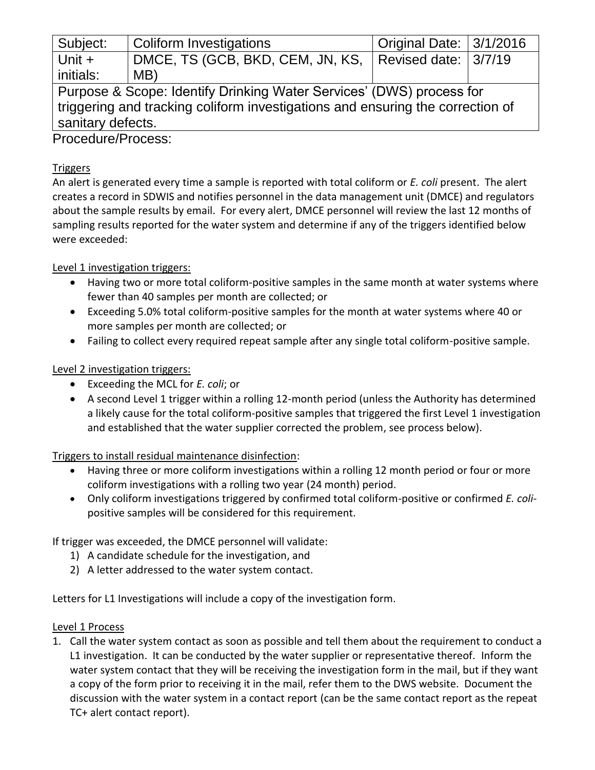| Subject:                                                                       | Coliform Investigations          | Original Date: 3/1/2016 |  |
|--------------------------------------------------------------------------------|----------------------------------|-------------------------|--|
| Unit $+$                                                                       | DMCE, TS (GCB, BKD, CEM, JN, KS, | Revised date: 3/7/19    |  |
| initials:                                                                      | MB)                              |                         |  |
| Purpose & Scope: Identify Drinking Water Services' (DWS) process for           |                                  |                         |  |
| triggering and tracking coliform investigations and ensuring the correction of |                                  |                         |  |
| sanitary defects.                                                              |                                  |                         |  |
| $D_{\text{max}}$                                                               |                                  |                         |  |

Procedure/Process:

## **Triggers**

An alert is generated every time a sample is reported with total coliform or *E. coli* present. The alert creates a record in SDWIS and notifies personnel in the data management unit (DMCE) and regulators about the sample results by email. For every alert, DMCE personnel will review the last 12 months of sampling results reported for the water system and determine if any of the triggers identified below were exceeded:

## Level 1 investigation triggers:

- Having two or more total coliform-positive samples in the same month at water systems where fewer than 40 samples per month are collected; or
- Exceeding 5.0% total coliform-positive samples for the month at water systems where 40 or more samples per month are collected; or
- Failing to collect every required repeat sample after any single total coliform-positive sample.

## Level 2 investigation triggers:

- Exceeding the MCL for *E. coli*; or
- A second Level 1 trigger within a rolling 12-month period (unless the Authority has determined a likely cause for the total coliform-positive samples that triggered the first Level 1 investigation and established that the water supplier corrected the problem, see process below).

# Triggers to install residual maintenance disinfection:

- Having three or more coliform investigations within a rolling 12 month period or four or more coliform investigations with a rolling two year (24 month) period.
- Only coliform investigations triggered by confirmed total coliform-positive or confirmed *E. coli*positive samples will be considered for this requirement.

If trigger was exceeded, the DMCE personnel will validate:

- 1) A candidate schedule for the investigation, and
- 2) A letter addressed to the water system contact.

Letters for L1 Investigations will include a copy of the investigation form.

### Level 1 Process

1. Call the water system contact as soon as possible and tell them about the requirement to conduct a L1 investigation. It can be conducted by the water supplier or representative thereof. Inform the water system contact that they will be receiving the investigation form in the mail, but if they want a copy of the form prior to receiving it in the mail, refer them to the DWS website. Document the discussion with the water system in a contact report (can be the same contact report as the repeat TC+ alert contact report).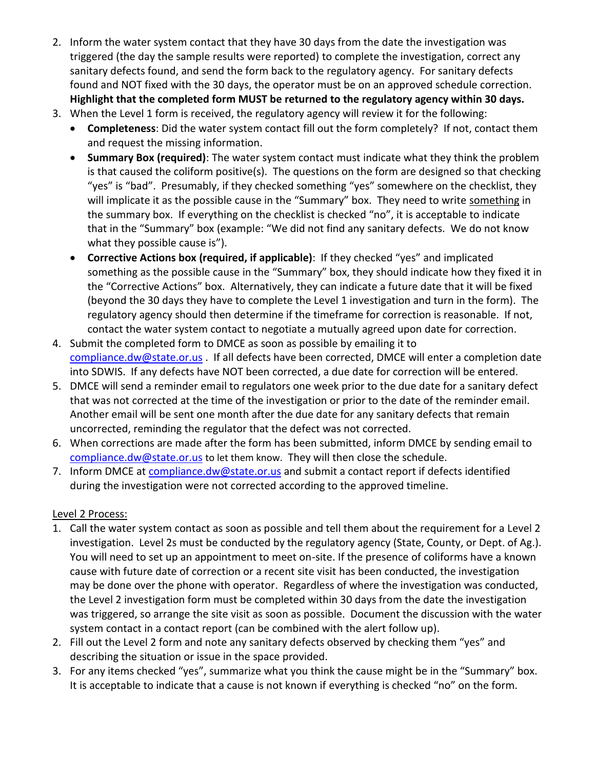- 2. Inform the water system contact that they have 30 days from the date the investigation was triggered (the day the sample results were reported) to complete the investigation, correct any sanitary defects found, and send the form back to the regulatory agency. For sanitary defects found and NOT fixed with the 30 days, the operator must be on an approved schedule correction. **Highlight that the completed form MUST be returned to the regulatory agency within 30 days.**
- 3. When the Level 1 form is received, the regulatory agency will review it for the following:
	- **Completeness**: Did the water system contact fill out the form completely? If not, contact them and request the missing information.
	- **Summary Box (required)**: The water system contact must indicate what they think the problem is that caused the coliform positive(s). The questions on the form are designed so that checking "yes" is "bad". Presumably, if they checked something "yes" somewhere on the checklist, they will implicate it as the possible cause in the "Summary" box. They need to write something in the summary box. If everything on the checklist is checked "no", it is acceptable to indicate that in the "Summary" box (example: "We did not find any sanitary defects. We do not know what they possible cause is").
	- **Corrective Actions box (required, if applicable)**: If they checked "yes" and implicated something as the possible cause in the "Summary" box, they should indicate how they fixed it in the "Corrective Actions" box. Alternatively, they can indicate a future date that it will be fixed (beyond the 30 days they have to complete the Level 1 investigation and turn in the form). The regulatory agency should then determine if the timeframe for correction is reasonable. If not, contact the water system contact to negotiate a mutually agreed upon date for correction.
- 4. Submit the completed form to DMCE as soon as possible by emailing it to [compliance.dw@state.or.us](mailto:compliance.dw@state.or.us) . If all defects have been corrected, DMCE will enter a completion date into SDWIS. If any defects have NOT been corrected, a due date for correction will be entered.
- 5. DMCE will send a reminder email to regulators one week prior to the due date for a sanitary defect that was not corrected at the time of the investigation or prior to the date of the reminder email. Another email will be sent one month after the due date for any sanitary defects that remain uncorrected, reminding the regulator that the defect was not corrected.
- 6. When corrections are made after the form has been submitted, inform DMCE by sending email to [compliance.dw@state.or.us](mailto:compliance.dw@state.or.us) to let them know. They will then close the schedule.
- 7. Inform DMCE at [compliance.dw@state.or.us](mailto:compliance.dw@state.or.us) and submit a contact report if defects identified during the investigation were not corrected according to the approved timeline.

### Level 2 Process:

- 1. Call the water system contact as soon as possible and tell them about the requirement for a Level 2 investigation. Level 2s must be conducted by the regulatory agency (State, County, or Dept. of Ag.). You will need to set up an appointment to meet on-site. If the presence of coliforms have a known cause with future date of correction or a recent site visit has been conducted, the investigation may be done over the phone with operator. Regardless of where the investigation was conducted, the Level 2 investigation form must be completed within 30 days from the date the investigation was triggered, so arrange the site visit as soon as possible. Document the discussion with the water system contact in a contact report (can be combined with the alert follow up).
- 2. Fill out the Level 2 form and note any sanitary defects observed by checking them "yes" and describing the situation or issue in the space provided.
- 3. For any items checked "yes", summarize what you think the cause might be in the "Summary" box. It is acceptable to indicate that a cause is not known if everything is checked "no" on the form.